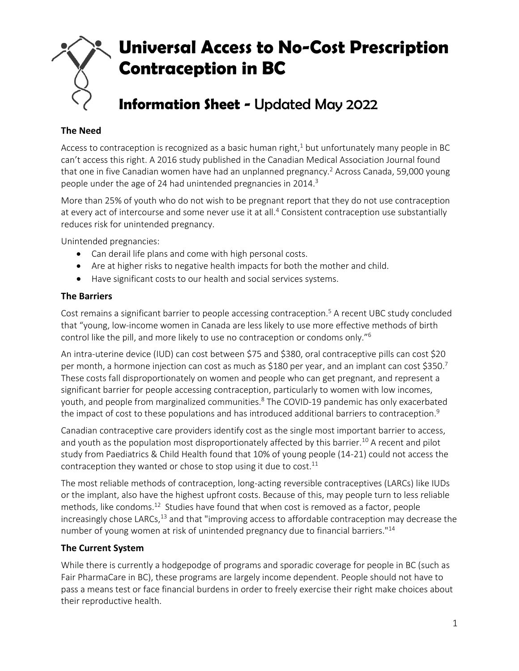

# **The Need**

Access to contraception is recognized as a basic human right, $1$  but unfortunately many people in BC can't access this right. A 2016 study published in the Canadian Medical Association Journal found that one in five Canadian women have had an unplanned pregnancy. <sup>2</sup> Across Canada, 59,000 young people under the age of 24 had unintended pregnancies in 2014.<sup>3</sup>

More than 25% of youth who do not wish to be pregnant report that they do not use contraception at every act of intercourse and some never use it at all.<sup>4</sup> Consistent contraception use substantially reduces risk for unintended pregnancy.

Unintended pregnancies:

- Can derail life plans and come with high personal costs.
- Are at higher risks to negative health impacts for both the mother and child.
- Have significant costs to our health and social services systems.

## **The Barriers**

Cost remains a significant barrier to people accessing contraception.<sup>5</sup> A recent UBC study concluded that "young, low-income women in Canada are less likely to use more effective methods of birth control like the pill, and more likely to use no contraception or condoms only."<sup>6</sup>

An intra-uterine device (IUD) can cost between \$75 and \$380, oral contraceptive pills can cost \$20 per month, a hormone injection can cost as much as \$180 per year, and an implant can cost \$350.<sup>7</sup> These costs fall disproportionately on women and people who can get pregnant, and represent a significant barrier for people accessing contraception, particularly to women with low incomes, youth, and people from marginalized communities.<sup>8</sup> The COVID-19 pandemic has only exacerbated the impact of cost to these populations and has introduced additional barriers to contraception.<sup>9</sup>

Canadian contraceptive care providers identify cost as the single most important barrier to access, and youth as the population most disproportionately affected by this barrier.<sup>10</sup> A recent and pilot study from Paediatrics & Child Health found that 10% of young people (14-21) could not access the contraception they wanted or chose to stop using it due to cost. $11$ 

The most reliable methods of contraception, long-acting reversible contraceptives (LARCs) like IUDs or the implant, also have the highest upfront costs. Because of this, may people turn to less reliable methods, like condoms.<sup>12</sup> Studies have found that when cost is removed as a factor, people increasingly chose LARCs,<sup>13</sup> and that "improving access to affordable contraception may decrease the number of young women at risk of unintended pregnancy due to financial barriers."<sup>14</sup>

## **The Current System**

While there is currently a hodgepodge of programs and sporadic coverage for people in BC (such as Fair PharmaCare in BC), these programs are largely income dependent. People should not have to pass a means test or face financial burdens in order to freely exercise their right make choices about their reproductive health.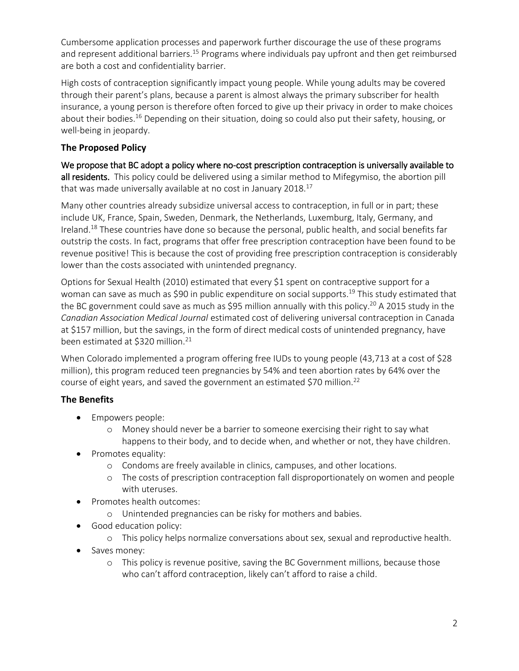Cumbersome application processes and paperwork further discourage the use of these programs and represent additional barriers.<sup>15</sup> Programs where individuals pay upfront and then get reimbursed are both a cost and confidentiality barrier.

High costs of contraception significantly impact young people. While young adults may be covered through their parent's plans, because a parent is almost always the primary subscriber for health insurance, a young person is therefore often forced to give up their privacy in order to make choices about their bodies.<sup>16</sup> Depending on their situation, doing so could also put their safety, housing, or well-being in jeopardy.

# **The Proposed Policy**

We propose that BC adopt a policy where no-cost prescription contraception is universally available to all residents. This policy could be delivered using a similar method to Mifegymiso, the abortion pill that was made universally available at no cost in January 2018. $^{17}$ 

Many other countries already subsidize universal access to contraception, in full or in part; these include UK, France, Spain, Sweden, Denmark, the Netherlands, Luxemburg, Italy, Germany, and Ireland.<sup>18</sup> These countries have done so because the personal, public health, and social benefits far outstrip the costs. In fact, programs that offer free prescription contraception have been found to be revenue positive! This is because the cost of providing free prescription contraception is considerably lower than the costs associated with unintended pregnancy.

Options for Sexual Health (2010) estimated that every \$1 spent on contraceptive support for a woman can save as much as \$90 in public expenditure on social supports.<sup>19</sup> This study estimated that the BC government could save as much as \$95 million annually with this policy.<sup>20</sup> A 2015 study in the *Canadian Association Medical Journal* estimated cost of delivering universal contraception in Canada at \$157 million, but the savings, in the form of direct medical costs of unintended pregnancy, have been estimated at \$320 million.<sup>21</sup>

When Colorado implemented a program offering free IUDs to young people (43,713 at a cost of \$28 million), this program reduced teen pregnancies by 54% and teen abortion rates by 64% over the course of eight years, and saved the government an estimated \$70 million.<sup>22</sup>

# **The Benefits**

- Empowers people:
	- o Money should never be a barrier to someone exercising their right to say what happens to their body, and to decide when, and whether or not, they have children.
- Promotes equality:
	- o Condoms are freely available in clinics, campuses, and other locations.
	- o The costs of prescription contraception fall disproportionately on women and people with uteruses.
- Promotes health outcomes:
	- o Unintended pregnancies can be risky for mothers and babies.
- **•** Good education policy:
	- o This policy helps normalize conversations about sex, sexual and reproductive health.
- Saves money:
	- o This policy is revenue positive, saving the BC Government millions, because those who can't afford contraception, likely can't afford to raise a child.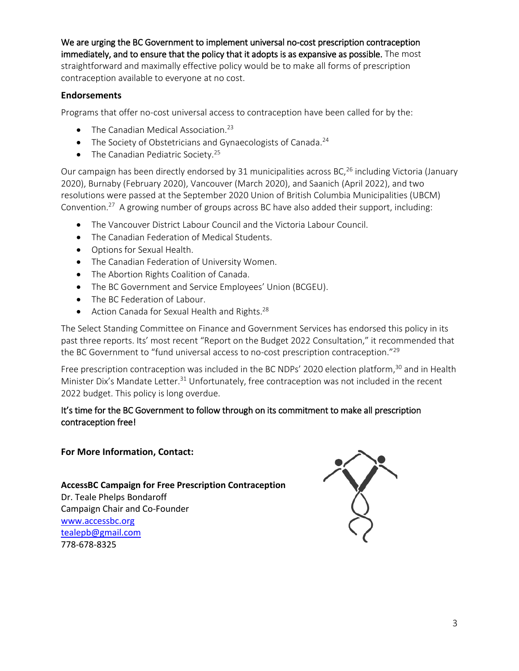We are urging the BC Government to implement universal no-cost prescription contraception immediately, and to ensure that the policy that it adopts is as expansive as possible. The most straightforward and maximally effective policy would be to make all forms of prescription contraception available to everyone at no cost.

## **Endorsements**

Programs that offer no-cost universal access to contraception have been called for by the:

- $\bullet$  The Canadian Medical Association.<sup>23</sup>
- $\bullet$  The Society of Obstetricians and Gynaecologists of Canada.<sup>24</sup>
- $\bullet$  The Canadian Pediatric Society.<sup>25</sup>

Our campaign has been directly endorsed by 31 municipalities across BC,<sup>26</sup> including Victoria (January 2020), Burnaby (February 2020), Vancouver (March 2020), and Saanich (April 2022), and two resolutions were passed at the September 2020 Union of British Columbia Municipalities (UBCM) Convention.<sup>27</sup> A growing number of groups across BC have also added their support, including:

- The Vancouver District Labour Council and the Victoria Labour Council.
- The Canadian Federation of Medical Students.
- Options for Sexual Health.
- The Canadian Federation of University Women.
- The Abortion Rights Coalition of Canada.
- The BC Government and Service Employees' Union (BCGEU).
- The BC Federation of Labour.
- $\bullet$  Action Canada for Sexual Health and Rights.<sup>28</sup>

The Select Standing Committee on Finance and Government Services has endorsed this policy in its past three reports. Its' most recent "Report on the Budget 2022 Consultation," it recommended that the BC Government to "fund universal access to no-cost prescription contraception."<sup>29</sup>

Free prescription contraception was included in the BC NDPs' 2020 election platform,<sup>30</sup> and in Health Minister Dix's Mandate Letter.<sup>31</sup> Unfortunately, free contraception was not included in the recent 2022 budget. This policy is long overdue.

## It's time for the BC Government to follow through on its commitment to make all prescription contraception free!

#### **For More Information, Contact:**

**AccessBC Campaign for Free Prescription Contraception** Dr. Teale Phelps Bondaroff Campaign Chair and Co-Founder [www.accessbc.org](http://www.accessbc.org/)

[tealepb@gmail.com](mailto:tealepb@gmail.com) 778-678-8325